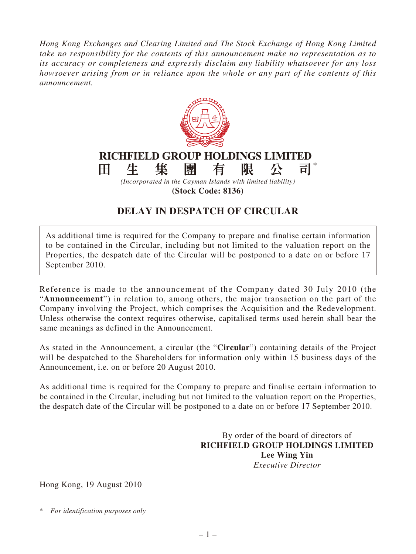*Hong Kong Exchanges and Clearing Limited and The Stock Exchange of Hong Kong Limited take no responsibility for the contents of this announcement make no representation as to its accuracy or completeness and expressly disclaim any liability whatsoever for any loss howsoever arising from or in reliance upon the whole or any part of the contents of this announcement.*



## **DELAY IN DESPATCH OF CIRCULAR**

As additional time is required for the Company to prepare and finalise certain information to be contained in the Circular, including but not limited to the valuation report on the Properties, the despatch date of the Circular will be postponed to a date on or before 17 September 2010.

Reference is made to the announcement of the Company dated 30 July 2010 (the "**Announcement**") in relation to, among others, the major transaction on the part of the Company involving the Project, which comprises the Acquisition and the Redevelopment. Unless otherwise the context requires otherwise, capitalised terms used herein shall bear the same meanings as defined in the Announcement.

As stated in the Announcement, a circular (the "**Circular**") containing details of the Project will be despatched to the Shareholders for information only within 15 business days of the Announcement, i.e. on or before 20 August 2010.

As additional time is required for the Company to prepare and finalise certain information to be contained in the Circular, including but not limited to the valuation report on the Properties, the despatch date of the Circular will be postponed to a date on or before 17 September 2010.

> By order of the board of directors of **RICHFIELD GROUP HOLDINGS LIMITED Lee Wing Yin** *Executive Director*

Hong Kong, 19 August 2010

\* *For identification purposes only*